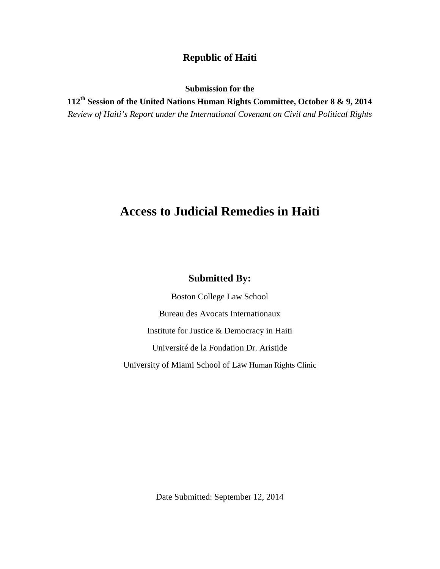# **Republic of Haiti**

**Submission for the**

**112th Session of the United Nations Human Rights Committee, October 8 & 9, 2014** *Review of Haiti's Report under the International Covenant on Civil and Political Rights*

# **Access to Judicial Remedies in Haiti**

# **Submitted By:**

Boston College Law School Bureau des Avocats Internationaux Institute for Justice & Democracy in Haiti Université de la Fondation Dr. Aristide University of Miami School of Law Human Rights Clinic

Date Submitted: September 12, 2014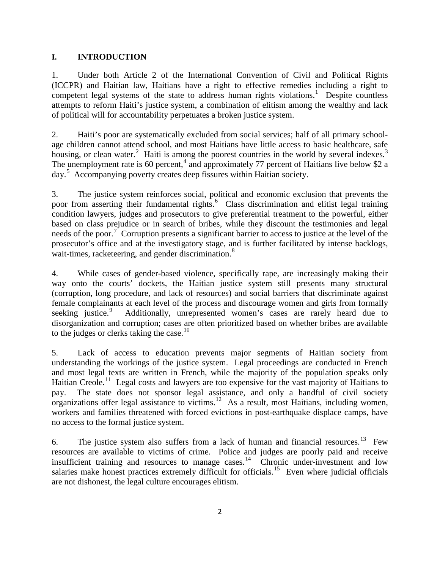# **I. INTRODUCTION**

1. Under both Article 2 of the International Convention of Civil and Political Rights (ICCPR) and Haitian law, Haitians have a right to effective remedies including a right to competent legal systems of the state to address human rights violations.<sup>[1](#page-18-0)</sup> Despite countless attempts to reform Haiti's justice system, a combination of elitism among the wealthy and lack of political will for accountability perpetuates a broken justice system.

2. Haiti's poor are systematically excluded from social services; half of all primary schoolage children cannot attend school, and most Haitians have little access to basic healthcare, safe housing, or clean water.<sup>[2](#page-18-1)</sup> Haiti is among the poorest countries in the world by several indexes.<sup>[3](#page-18-2)</sup> The unemployment rate is 60 percent,<sup>[4](#page-18-3)</sup> and approximately 77 percent of Haitians live below \$2 a day.[5](#page-18-4) Accompanying poverty creates deep fissures within Haitian society.

3. The justice system reinforces social, political and economic exclusion that prevents the poor from asserting their fundamental rights.<sup>[6](#page-18-5)</sup> Class discrimination and elitist legal training condition lawyers, judges and prosecutors to give preferential treatment to the powerful, either based on class prejudice or in search of bribes, while they discount the testimonies and legal needs of the poor.<sup>[7](#page-18-6)</sup> Corruption presents a significant barrier to access to justice at the level of the prosecutor's office and at the investigatory stage, and is further facilitated by intense backlogs, wait-times, racketeering, and gender discrimination.<sup>[8](#page-18-7)</sup>

4. While cases of gender-based violence, specifically rape, are increasingly making their way onto the courts' dockets, the Haitian justice system still presents many structural (corruption, long procedure, and lack of resources) and social barriers that discriminate against female complainants at each level of the process and discourage women and girls from formally seeking justice. $9$  Additionally, unrepresented women's cases are rarely heard due to disorganization and corruption; cases are often prioritized based on whether bribes are available to the judges or clerks taking the case.<sup>[10](#page-18-9)</sup>

5. Lack of access to education prevents major segments of Haitian society from understanding the workings of the justice system. Legal proceedings are conducted in French and most legal texts are written in French, while the majority of the population speaks only Haitian Creole.<sup>[11](#page-18-10)</sup> Legal costs and lawyers are too expensive for the vast majority of Haitians to pay. The state does not sponsor legal assistance, and only a handful of civil society organizations offer legal assistance to victims.<sup>12</sup> As a result, most Haitians, including women, workers and families threatened with forced evictions in post-earthquake displace camps, have no access to the formal justice system.

6. The justice system also suffers from a lack of human and financial resources.<sup>[13](#page-18-12)</sup> Few resources are available to victims of crime. Police and judges are poorly paid and receive insufficient training and resources to manage cases.<sup>[14](#page-18-13)</sup> Chronic under-investment and low salaries make honest practices extremely difficult for officials.<sup>15</sup> Even where judicial officials are not dishonest, the legal culture encourages elitism.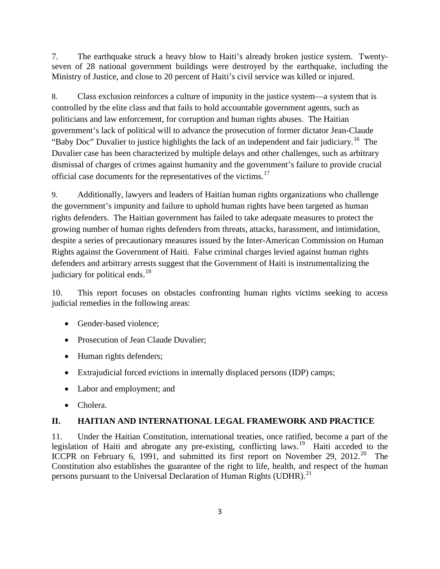7. The earthquake struck a heavy blow to Haiti's already broken justice system. Twentyseven of 28 national government buildings were destroyed by the earthquake, including the Ministry of Justice, and close to 20 percent of Haiti's civil service was killed or injured.

8. Class exclusion reinforces a culture of impunity in the justice system—a system that is controlled by the elite class and that fails to hold accountable government agents, such as politicians and law enforcement, for corruption and human rights abuses. The Haitian government's lack of political will to advance the prosecution of former dictator Jean-Claude "Baby Doc" Duvalier to justice highlights the lack of an independent and fair judiciary.<sup>16</sup> The Duvalier case has been characterized by multiple delays and other challenges, such as arbitrary dismissal of charges of crimes against humanity and the government's failure to provide crucial official case documents for the representatives of the victims.<sup>[17](#page-19-1)</sup>

9. Additionally, lawyers and leaders of Haitian human rights organizations who challenge the government's impunity and failure to uphold human rights have been targeted as human rights defenders. The Haitian government has failed to take adequate measures to protect the growing number of human rights defenders from threats, attacks, harassment, and intimidation, despite a series of precautionary measures issued by the Inter-American Commission on Human Rights against the Government of Haiti. False criminal charges levied against human rights defenders and arbitrary arrests suggest that the Government of Haiti is instrumentalizing the judiciary for political ends.<sup>[18](#page-19-2)</sup>

10. This report focuses on obstacles confronting human rights victims seeking to access judicial remedies in the following areas:

- Gender-based violence;
- Prosecution of Jean Claude Duvalier;
- Human rights defenders;
- Extrajudicial forced evictions in internally displaced persons (IDP) camps;
- Labor and employment; and
- Cholera.

# **II. HAITIAN AND INTERNATIONAL LEGAL FRAMEWORK AND PRACTICE**

11. Under the Haitian Constitution, international treaties, once ratified, become a part of the legislation of Haiti and abrogate any pre-existing, conflicting laws.<sup>19</sup> Haiti acceded to the ICCPR on February 6, 1991, and submitted its first report on November 29, [20](#page-19-4)12.<sup>20</sup> The Constitution also establishes the guarantee of the right to life, health, and respect of the human persons pursuant to the Universal Declaration of Human Rights (UDHR).<sup>[21](#page-19-5)</sup>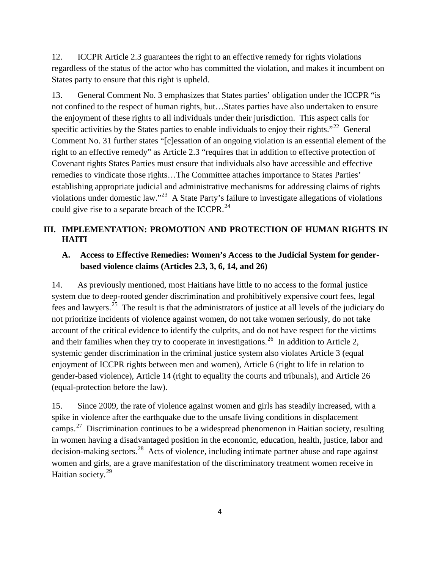12. ICCPR Article 2.3 guarantees the right to an effective remedy for rights violations regardless of the status of the actor who has committed the violation, and makes it incumbent on States party to ensure that this right is upheld.

13. General Comment No. 3 emphasizes that States parties' obligation under the ICCPR "is not confined to the respect of human rights, but…States parties have also undertaken to ensure the enjoyment of these rights to all individuals under their jurisdiction. This aspect calls for specific activities by the States parties to enable individuals to enjoy their rights."<sup>[22](#page-20-0)</sup> General Comment No. 31 further states "[c]essation of an ongoing violation is an essential element of the right to an effective remedy" as Article 2.3 "requires that in addition to effective protection of Covenant rights States Parties must ensure that individuals also have accessible and effective remedies to vindicate those rights…The Committee attaches importance to States Parties' establishing appropriate judicial and administrative mechanisms for addressing claims of rights violations under domestic law."[23](#page-20-1) A State Party's failure to investigate allegations of violations could give rise to a separate breach of the ICCPR.<sup>[24](#page-20-2)</sup>

# **III. IMPLEMENTATION: PROMOTION AND PROTECTION OF HUMAN RIGHTS IN HAITI**

# **A. Access to Effective Remedies: Women's Access to the Judicial System for genderbased violence claims (Articles 2.3, 3, 6, 14, and 26)**

14. As previously mentioned, most Haitians have little to no access to the formal justice system due to deep-rooted gender discrimination and prohibitively expensive court fees, legal fees and lawyers.[25](#page-20-3) The result is that the administrators of justice at all levels of the judiciary do not prioritize incidents of violence against women, do not take women seriously, do not take account of the critical evidence to identify the culprits, and do not have respect for the victims and their families when they try to cooperate in investigations.<sup>[26](#page-20-4)</sup> In addition to Article 2, systemic gender discrimination in the criminal justice system also violates Article 3 (equal enjoyment of ICCPR rights between men and women), Article 6 (right to life in relation to gender-based violence), Article 14 (right to equality the courts and tribunals), and Article 26 (equal-protection before the law).

15. Since 2009, the rate of violence against women and girls has steadily increased, with a spike in violence after the earthquake due to the unsafe living conditions in displacement camps.<sup>[27](#page-20-5)</sup> Discrimination continues to be a widespread phenomenon in Haitian society, resulting in women having a disadvantaged position in the economic, education, health, justice, labor and decision-making sectors.<sup>[28](#page-20-6)</sup> Acts of violence, including intimate partner abuse and rape against women and girls, are a grave manifestation of the discriminatory treatment women receive in Haitian society.<sup>[29](#page-20-7)</sup>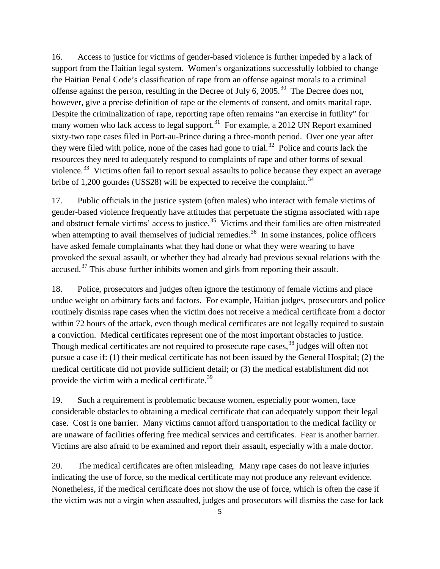16. Access to justice for victims of gender-based violence is further impeded by a lack of support from the Haitian legal system. Women's organizations successfully lobbied to change the Haitian Penal Code's classification of rape from an offense against morals to a criminal offense against the person, resulting in the Decree of July 6,  $2005$ .<sup>[30](#page-21-0)</sup> The Decree does not, however, give a precise definition of rape or the elements of consent, and omits marital rape. Despite the criminalization of rape, reporting rape often remains "an exercise in futility" for many women who lack access to legal support.<sup>[31](#page-21-1)</sup> For example, a 2012 UN Report examined sixty-two rape cases filed in Port-au-Prince during a three-month period. Over one year after they were filed with police, none of the cases had gone to trial.<sup>[32](#page-21-2)</sup> Police and courts lack the resources they need to adequately respond to complaints of rape and other forms of sexual violence.<sup>[33](#page-21-3)</sup> Victims often fail to report sexual assaults to police because they expect an average bribe of 1,200 gourdes (US\$28) will be expected to receive the complaint.<sup>[34](#page-21-4)</sup>

17. Public officials in the justice system (often males) who interact with female victims of gender-based violence frequently have attitudes that perpetuate the stigma associated with rape and obstruct female victims' access to justice.<sup>[35](#page-21-5)</sup> Victims and their families are often mistreated when attempting to avail themselves of judicial remedies.<sup>[36](#page-21-6)</sup> In some instances, police officers have asked female complainants what they had done or what they were wearing to have provoked the sexual assault, or whether they had already had previous sexual relations with the accused.<sup>[37](#page-21-7)</sup> This abuse further inhibits women and girls from reporting their assault.

18. Police, prosecutors and judges often ignore the testimony of female victims and place undue weight on arbitrary facts and factors. For example, Haitian judges, prosecutors and police routinely dismiss rape cases when the victim does not receive a medical certificate from a doctor within 72 hours of the attack, even though medical certificates are not legally required to sustain a conviction. Medical certificates represent one of the most important obstacles to justice. Though medical certificates are not required to prosecute rape cases,<sup>[38](#page-21-8)</sup> judges will often not pursue a case if: (1) their medical certificate has not been issued by the General Hospital; (2) the medical certificate did not provide sufficient detail; or (3) the medical establishment did not provide the victim with a medical certificate.<sup>[39](#page-21-9)</sup>

19. Such a requirement is problematic because women, especially poor women, face considerable obstacles to obtaining a medical certificate that can adequately support their legal case. Cost is one barrier. Many victims cannot afford transportation to the medical facility or are unaware of facilities offering free medical services and certificates. Fear is another barrier. Victims are also afraid to be examined and report their assault, especially with a male doctor.

20. The medical certificates are often misleading. Many rape cases do not leave injuries indicating the use of force, so the medical certificate may not produce any relevant evidence. Nonetheless, if the medical certificate does not show the use of force, which is often the case if the victim was not a virgin when assaulted, judges and prosecutors will dismiss the case for lack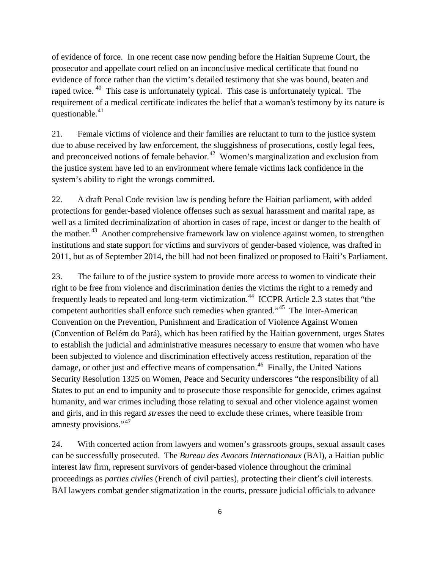of evidence of force. In one recent case now pending before the Haitian Supreme Court, the prosecutor and appellate court relied on an inconclusive medical certificate that found no evidence of force rather than the victim's detailed testimony that she was bound, beaten and raped twice. <sup>[40](#page-21-10)</sup> This case is unfortunately typical. This case is unfortunately typical. The requirement of a medical certificate indicates the belief that a woman's testimony by its nature is questionable. $41$ 

21. Female victims of violence and their families are reluctant to turn to the justice system due to abuse received by law enforcement, the sluggishness of prosecutions, costly legal fees, and preconceived notions of female behavior.<sup>[42](#page-21-12)</sup> Women's marginalization and exclusion from the justice system have led to an environment where female victims lack confidence in the system's ability to right the wrongs committed.

22. A draft Penal Code revision law is pending before the Haitian parliament, with added protections for gender-based violence offenses such as sexual harassment and marital rape, as well as a limited decriminalization of abortion in cases of rape, incest or danger to the health of the mother.<sup>[43](#page-21-13)</sup> Another comprehensive framework law on violence against women, to strengthen institutions and state support for victims and survivors of gender-based violence, was drafted in 2011, but as of September 2014, the bill had not been finalized or proposed to Haiti's Parliament.

23. The failure to of the justice system to provide more access to women to vindicate their right to be free from violence and discrimination denies the victims the right to a remedy and frequently leads to repeated and long-term victimization.<sup>[44](#page-21-14)</sup> ICCPR Article 2.3 states that "the competent authorities shall enforce such remedies when granted."[45](#page-21-15) The Inter-American Convention on the Prevention, Punishment and Eradication of Violence Against Women (Convention of Belém do Pará), which has been ratified by the Haitian government, urges States to establish the judicial and administrative measures necessary to ensure that women who have been subjected to violence and discrimination effectively access restitution, reparation of the damage, or other just and effective means of compensation.<sup>[46](#page-21-16)</sup> Finally, the United Nations Security Resolution 1325 on Women, Peace and Security underscores "the responsibility of all States to put an end to impunity and to prosecute those responsible for genocide, crimes against humanity, and war crimes including those relating to sexual and other violence against women and girls, and in this regard *stresses* the need to exclude these crimes, where feasible from amnesty provisions."[47](#page-21-17)

24. With concerted action from lawyers and women's grassroots groups, sexual assault cases can be successfully prosecuted. The *Bureau des Avocats Internationaux* (BAI), a Haitian public interest law firm, represent survivors of gender-based violence throughout the criminal proceedings as *parties civiles* (French of civil parties), protecting their client's civil interests. BAI lawyers combat gender stigmatization in the courts, pressure judicial officials to advance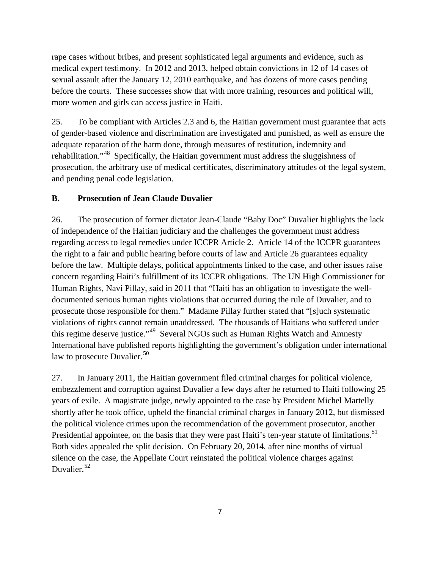rape cases without bribes, and present sophisticated legal arguments and evidence, such as medical expert testimony. In 2012 and 2013, helped obtain convictions in 12 of 14 cases of sexual assault after the January 12, 2010 earthquake, and has dozens of more cases pending before the courts. These successes show that with more training, resources and political will, more women and girls can access justice in Haiti.

25. To be compliant with Articles 2.3 and 6, the Haitian government must guarantee that acts of gender-based violence and discrimination are investigated and punished, as well as ensure the adequate reparation of the harm done, through measures of restitution, indemnity and rehabilitation."[48](#page-21-18) Specifically, the Haitian government must address the sluggishness of prosecution, the arbitrary use of medical certificates, discriminatory attitudes of the legal system, and pending penal code legislation.

# **B. Prosecution of Jean Claude Duvalier**

26. The prosecution of former dictator Jean-Claude "Baby Doc" Duvalier highlights the lack of independence of the Haitian judiciary and the challenges the government must address regarding access to legal remedies under ICCPR Article 2. Article 14 of the ICCPR guarantees the right to a fair and public hearing before courts of law and Article 26 guarantees equality before the law. Multiple delays, political appointments linked to the case, and other issues raise concern regarding Haiti's fulfillment of its ICCPR obligations. The UN High Commissioner for Human Rights, Navi Pillay, said in 2011 that "Haiti has an obligation to investigate the welldocumented serious human rights violations that occurred during the rule of Duvalier, and to prosecute those responsible for them." Madame Pillay further stated that "[s]uch systematic violations of rights cannot remain unaddressed. The thousands of Haitians who suffered under this regime deserve justice."[49](#page-21-19) Several NGOs such as Human Rights Watch and Amnesty International have published reports highlighting the government's obligation under international law to prosecute Duvalier.<sup>[50](#page-21-20)</sup>

27. In January 2011, the Haitian government filed criminal charges for political violence, embezzlement and corruption against Duvalier a few days after he returned to Haiti following 25 years of exile. A magistrate judge, newly appointed to the case by President Michel Martelly shortly after he took office, upheld the financial criminal charges in January 2012, but dismissed the political violence crimes upon the recommendation of the government prosecutor, another Presidential appointee, on the basis that they were past Haiti's ten-year statute of limitations.<sup>[51](#page-21-21)</sup> Both sides appealed the split decision. On February 20, 2014, after nine months of virtual silence on the case, the Appellate Court reinstated the political violence charges against Duvalier.<sup>[52](#page-21-22)</sup>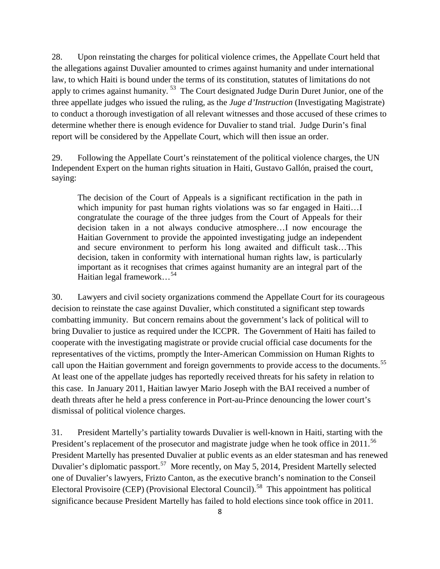28. Upon reinstating the charges for political violence crimes, the Appellate Court held that the allegations against Duvalier amounted to crimes against humanity and under international law, to which Haiti is bound under the terms of its constitution, statutes of limitations do not apply to crimes against humanity.<sup>[53](#page-21-23)</sup> The Court designated Judge Durin Duret Junior, one of the three appellate judges who issued the ruling, as the *Juge d'Instruction* (Investigating Magistrate) to conduct a thorough investigation of all relevant witnesses and those accused of these crimes to determine whether there is enough evidence for Duvalier to stand trial. Judge Durin's final report will be considered by the Appellate Court, which will then issue an order.

29. Following the Appellate Court's reinstatement of the political violence charges, the UN Independent Expert on the human rights situation in Haiti, Gustavo Gallón, praised the court, saying:

The decision of the Court of Appeals is a significant rectification in the path in which impunity for past human rights violations was so far engaged in Haiti...I congratulate the courage of the three judges from the Court of Appeals for their decision taken in a not always conducive atmosphere…I now encourage the Haitian Government to provide the appointed investigating judge an independent and secure environment to perform his long awaited and difficult task…This decision, taken in conformity with international human rights law, is particularly important as it recognises that crimes against humanity are an integral part of the Haitian legal framework…[54](#page-21-24)

30. Lawyers and civil society organizations commend the Appellate Court for its courageous decision to reinstate the case against Duvalier, which constituted a significant step towards combatting immunity. But concern remains about the government's lack of political will to bring Duvalier to justice as required under the ICCPR. The Government of Haiti has failed to cooperate with the investigating magistrate or provide crucial official case documents for the representatives of the victims, promptly the Inter-American Commission on Human Rights to call upon the Haitian government and foreign governments to provide access to the documents.<sup>[55](#page-21-25)</sup> At least one of the appellate judges has reportedly received threats for his safety in relation to this case. In January 2011, Haitian lawyer Mario Joseph with the BAI received a number of death threats after he held a press conference in Port-au-Prince denouncing the lower court's dismissal of political violence charges.

31. President Martelly's partiality towards Duvalier is well-known in Haiti, starting with the President's replacement of the prosecutor and magistrate judge when he took office in 2011.<sup>[56](#page-21-26)</sup> President Martelly has presented Duvalier at public events as an elder statesman and has renewed Duvalier's diplomatic passport.[57](#page-21-27) More recently, on May 5, 2014, President Martelly selected one of Duvalier's lawyers, Frizto Canton, as the executive branch's nomination to the Conseil Electoral Provisoire (CEP) (Provisional Electoral Council).<sup>[58](#page-21-28)</sup> This appointment has political significance because President Martelly has failed to hold elections since took office in 2011.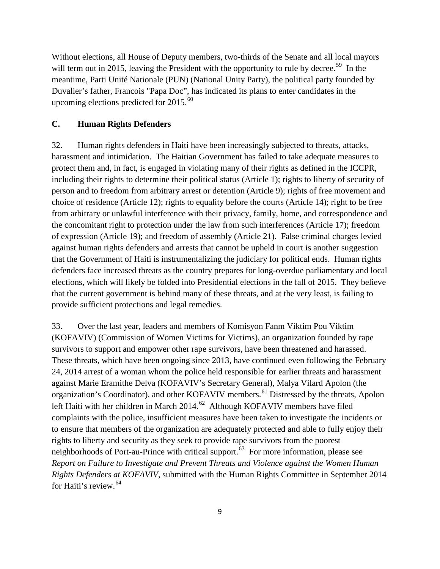Without elections, all House of Deputy members, two-thirds of the Senate and all local mayors will term out in 2015, leaving the President with the opportunity to rule by decree.<sup>59</sup> In the meantime, Parti Unité Nationale (PUN) (National Unity Party), the political party founded by Duvalier's father, Francois "Papa Doc", has indicated its plans to enter candidates in the upcoming elections predicted for 2015.<sup>[60](#page-21-30)</sup>

#### **C. Human Rights Defenders**

32. Human rights defenders in Haiti have been increasingly subjected to threats, attacks, harassment and intimidation. The Haitian Government has failed to take adequate measures to protect them and, in fact, is engaged in violating many of their rights as defined in the ICCPR, including their rights to determine their political status (Article 1); rights to liberty of security of person and to freedom from arbitrary arrest or detention (Article 9); rights of free movement and choice of residence (Article 12); rights to equality before the courts (Article 14); right to be free from arbitrary or unlawful interference with their privacy, family, home, and correspondence and the concomitant right to protection under the law from such interferences (Article 17); freedom of expression (Article 19); and freedom of assembly (Article 21). False criminal charges levied against human rights defenders and arrests that cannot be upheld in court is another suggestion that the Government of Haiti is instrumentalizing the judiciary for political ends. Human rights defenders face increased threats as the country prepares for long-overdue parliamentary and local elections, which will likely be folded into Presidential elections in the fall of 2015. They believe that the current government is behind many of these threats, and at the very least, is failing to provide sufficient protections and legal remedies.

33. Over the last year, leaders and members of Komisyon Fanm Viktim Pou Viktim (KOFAVIV) (Commission of Women Victims for Victims), an organization founded by rape survivors to support and empower other rape survivors, have been threatened and harassed. These threats, which have been ongoing since 2013, have continued even following the February 24, 2014 arrest of a woman whom the police held responsible for earlier threats and harassment against Marie Eramithe Delva (KOFAVIV's Secretary General), Malya Vilard Apolon (the organization's Coordinator), and other KOFAVIV members.<sup>[61](#page-21-31)</sup> Distressed by the threats, Apolon left Haiti with her children in March 2014.<sup>[62](#page-21-32)</sup> Although KOFAVIV members have filed complaints with the police, insufficient measures have been taken to investigate the incidents or to ensure that members of the organization are adequately protected and able to fully enjoy their rights to liberty and security as they seek to provide rape survivors from the poorest neighborhoods of Port-au-Prince with critical support.<sup>63</sup> For more information, please see *Report on Failure to Investigate and Prevent Threats and Violence against the Women Human Rights Defenders at KOFAVIV*, submitted with the Human Rights Committee in September 2014 for Haiti's review.[64](#page-21-34)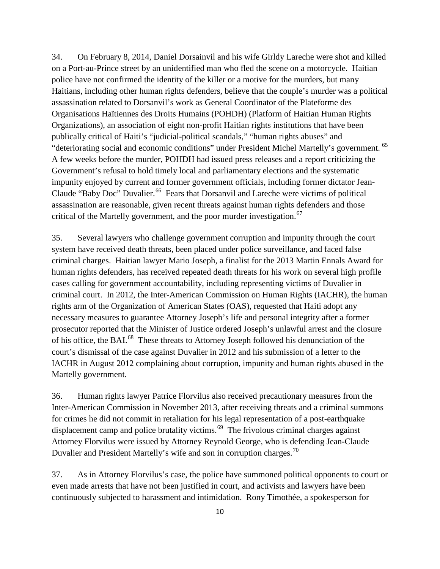34. On February 8, 2014, Daniel Dorsainvil and his wife Girldy Lareche were shot and killed on a Port-au-Prince street by an unidentified man who fled the scene on a motorcycle. Haitian police have not confirmed the identity of the killer or a motive for the murders, but many Haitians, including other human rights defenders, believe that the couple's murder was a political assassination related to Dorsanvil's work as General Coordinator of the Plateforme des Organisations Haïtiennes des Droits Humains (POHDH) (Platform of Haitian Human Rights Organizations), an association of eight non-profit Haitian rights institutions that have been publically critical of Haiti's "judicial-political scandals," "human rights abuses" and "deteriorating social and economic conditions" under President Michel Martelly's government. [65](#page-21-35) A few weeks before the murder, POHDH had issued press releases and a report criticizing the Government's refusal to hold timely local and parliamentary elections and the systematic impunity enjoyed by current and former government officials, including former dictator Jean-Claude "Baby Doc" Duvalier.<sup>[66](#page-21-36)</sup> Fears that Dorsanvil and Lareche were victims of political assassination are reasonable, given recent threats against human rights defenders and those critical of the Martelly government, and the poor murder investigation.<sup>[67](#page-21-37)</sup>

35. Several lawyers who challenge government corruption and impunity through the court system have received death threats, been placed under police surveillance, and faced false criminal charges. Haitian lawyer Mario Joseph, a finalist for the 2013 Martin Ennals Award for human rights defenders, has received repeated death threats for his work on several high profile cases calling for government accountability, including representing victims of Duvalier in criminal court. In 2012, the Inter-American Commission on Human Rights (IACHR), the human rights arm of the Organization of American States (OAS), requested that Haiti adopt any necessary measures to guarantee Attorney Joseph's life and personal integrity after a former prosecutor reported that the Minister of Justice ordered Joseph's unlawful arrest and the closure of his office, the BAI.<sup>[68](#page-21-38)</sup> These threats to Attorney Joseph followed his denunciation of the court's dismissal of the case against Duvalier in 2012 and his submission of a letter to the IACHR in August 2012 complaining about corruption, impunity and human rights abused in the Martelly government.

36. Human rights lawyer Patrice Florvilus also received precautionary measures from the Inter-American Commission in November 2013, after receiving threats and a criminal summons for crimes he did not commit in retaliation for his legal representation of a post-earthquake displacement camp and police brutality victims.<sup>69</sup> The frivolous criminal charges against Attorney Florvilus were issued by Attorney Reynold George, who is defending Jean-Claude Duvalier and President Martelly's wife and son in corruption charges.<sup>[70](#page-21-40)</sup>

37. As in Attorney Florvilus's case, the police have summoned political opponents to court or even made arrests that have not been justified in court, and activists and lawyers have been continuously subjected to harassment and intimidation. Rony Timothée, a spokesperson for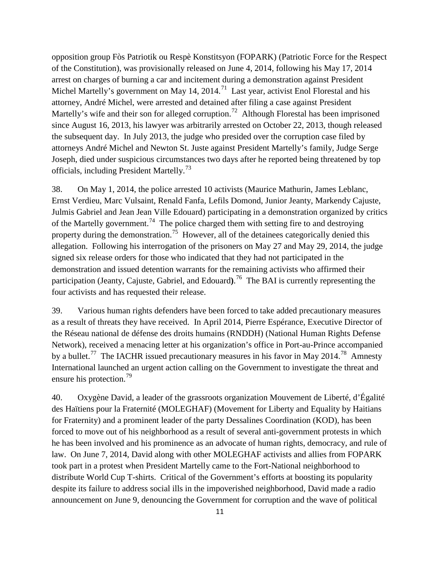opposition group Fòs Patriotik ou Respè Konstitsyon (FOPARK) (Patriotic Force for the Respect of the Constitution), was provisionally released on June 4, 2014, following his May 17, 2014 arrest on charges of burning a car and incitement during a demonstration against President Michel Martelly's government on May 14, 2014.<sup>[71](#page-21-14)</sup> Last year, activist Enol Florestal and his attorney, André Michel, were arrested and detained after filing a case against President Martelly's wife and their son for alleged corruption.<sup>[72](#page-21-41)</sup> Although Florestal has been imprisoned since August 16, 2013, his lawyer was arbitrarily arrested on October 22, 2013, though released the subsequent day. In July 2013, the judge who presided over the corruption case filed by attorneys André Michel and Newton St. Juste against President Martelly's family, Judge Serge Joseph, died under suspicious circumstances two days after he reported being threatened by top officials, including President Martelly.<sup>[73](#page-21-42)</sup>

38. On May 1, 2014, the police arrested 10 activists (Maurice Mathurin, James Leblanc, Ernst Verdieu, Marc Vulsaint, Renald Fanfa, Lefils Domond, Junior Jeanty, Markendy Cajuste, Julmis Gabriel and Jean Jean Ville Edouard) participating in a demonstration organized by critics of the Martelly government.<sup>[74](#page-21-43)</sup> The police charged them with setting fire to and destroying property during the demonstration.<sup>[75](#page-21-44)</sup> However, all of the detainees categorically denied this allegation. Following his interrogation of the prisoners on May 27 and May 29, 2014, the judge signed six release orders for those who indicated that they had not participated in the demonstration and issued detention warrants for the remaining activists who affirmed their participation (Jeanty, Cajuste, Gabriel, and Edouard**)**. [76](#page-21-45) The BAI is currently representing the four activists and has requested their release.

39. Various human rights defenders have been forced to take added precautionary measures as a result of threats they have received. In April 2014, Pierre Espérance, Executive Director of the Réseau national de défense des droits humains (RNDDH) (National Human Rights Defense Network), received a menacing letter at his organization's office in Port-au-Prince accompanied by a bullet.<sup>[77](#page-21-46)</sup> The IACHR issued precautionary measures in his favor in May 2014.<sup>78</sup> Amnesty International launched an urgent action calling on the Government to investigate the threat and ensure his protection.<sup>[79](#page-21-48)</sup>

40. Oxygène David, a leader of the grassroots organization Mouvement de Liberté, d'Égalité des Haïtiens pour la Fraternité (MOLEGHAF) (Movement for Liberty and Equality by Haitians for Fraternity) and a prominent leader of the party Dessalines Coordination (KOD), has been forced to move out of his neighborhood as a result of several anti-government protests in which he has been involved and his prominence as an advocate of human rights, democracy, and rule of law. On June 7, 2014, David along with other MOLEGHAF activists and allies from FOPARK took part in a protest when President Martelly came to the Fort-National neighborhood to distribute World Cup T-shirts. Critical of the Government's efforts at boosting its popularity despite its failure to address social ills in the impoverished neighborhood, David made a radio announcement on June 9, denouncing the Government for corruption and the wave of political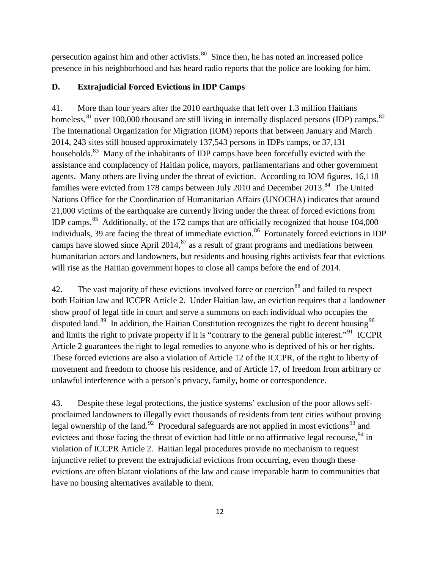persecution against him and other activists. $80$  Since then, he has noted an increased police presence in his neighborhood and has heard radio reports that the police are looking for him.

# **D. Extrajudicial Forced Evictions in IDP Camps**

41. More than four years after the 2010 earthquake that left over 1.3 million Haitians homeless,  $81$  over 100,000 thousand are still living in internally displaced persons (IDP) camps.  $82$ The International Organization for Migration (IOM) reports that between January and March 2014, 243 sites still housed approximately 137,543 persons in IDPs camps, or 37,131 households.<sup>[83](#page-21-51)</sup> Many of the inhabitants of IDP camps have been forcefully evicted with the assistance and complacency of Haitian police, mayors, parliamentarians and other government agents. Many others are living under the threat of eviction. According to IOM figures, 16,118 families were evicted from 178 camps between July 2010 and December 2013.<sup>[84](#page-21-52)</sup> The United Nations Office for the Coordination of Humanitarian Affairs (UNOCHA) indicates that around 21,000 victims of the earthquake are currently living under the threat of forced evictions from IDP camps.[85](#page-21-53) Additionally, of the 172 camps that are officially recognized that house 104,000 individuals, 39 are facing the threat of immediate eviction.<sup>86</sup> Fortunately forced evictions in IDP camps have slowed since April 2014, $^{87}$  $^{87}$  $^{87}$  as a result of grant programs and mediations between humanitarian actors and landowners, but residents and housing rights activists fear that evictions will rise as the Haitian government hopes to close all camps before the end of 2014.

42. The vast majority of these evictions involved force or coercion<sup>[88](#page-21-56)</sup> and failed to respect both Haitian law and ICCPR Article 2. Under Haitian law, an eviction requires that a landowner show proof of legal title in court and serve a summons on each individual who occupies the disputed land.<sup>[89](#page-21-57)</sup> In addition, the Haitian Constitution recognizes the right to decent housing<sup>[90](#page-21-58)</sup> and limits the right to private property if it is "contrary to the general public interest."[91](#page-21-59) ICCPR Article 2 guarantees the right to legal remedies to anyone who is deprived of his or her rights. These forced evictions are also a violation of Article 12 of the ICCPR, of the right to liberty of movement and freedom to choose his residence, and of Article 17, of freedom from arbitrary or unlawful interference with a person's privacy, family, home or correspondence.

43. Despite these legal protections, the justice systems' exclusion of the poor allows selfproclaimed landowners to illegally evict thousands of residents from tent cities without proving legal ownership of the land.<sup>[92](#page-21-60)</sup> Procedural safeguards are not applied in most evictions<sup>[93](#page-21-61)</sup> and evictees and those facing the threat of eviction had little or no affirmative legal recourse, <sup>[94](#page-21-62)</sup> in violation of ICCPR Article 2. Haitian legal procedures provide no mechanism to request injunctive relief to prevent the extrajudicial evictions from occurring, even though these evictions are often blatant violations of the law and cause irreparable harm to communities that have no housing alternatives available to them.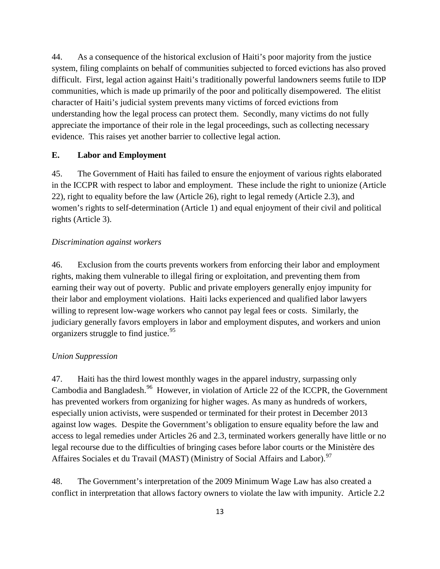44. As a consequence of the historical exclusion of Haiti's poor majority from the justice system, filing complaints on behalf of communities subjected to forced evictions has also proved difficult. First, legal action against Haiti's traditionally powerful landowners seems futile to IDP communities, which is made up primarily of the poor and politically disempowered. The elitist character of Haiti's judicial system prevents many victims of forced evictions from understanding how the legal process can protect them. Secondly, many victims do not fully appreciate the importance of their role in the legal proceedings, such as collecting necessary evidence. This raises yet another barrier to collective legal action.

#### **E. Labor and Employment**

45. The Government of Haiti has failed to ensure the enjoyment of various rights elaborated in the ICCPR with respect to labor and employment. These include the right to unionize (Article 22), right to equality before the law (Article 26), right to legal remedy (Article 2.3), and women's rights to self-determination (Article 1) and equal enjoyment of their civil and political rights (Article 3).

#### *Discrimination against workers*

46. Exclusion from the courts prevents workers from enforcing their labor and employment rights, making them vulnerable to illegal firing or exploitation, and preventing them from earning their way out of poverty. Public and private employers generally enjoy impunity for their labor and employment violations. Haiti lacks experienced and qualified labor lawyers willing to represent low-wage workers who cannot pay legal fees or costs. Similarly, the judiciary generally favors employers in labor and employment disputes, and workers and union organizers struggle to find justice.<sup>[95](#page-21-63)</sup>

#### *Union Suppression*

47. Haiti has the third lowest monthly wages in the apparel industry, surpassing only Cambodia and Bangladesh.<sup>[96](#page-21-14)</sup> However, in violation of Article 22 of the ICCPR, the Government has prevented workers from organizing for higher wages. As many as hundreds of workers, especially union activists, were suspended or terminated for their protest in December 2013 against low wages. Despite the Government's obligation to ensure equality before the law and access to legal remedies under Articles 26 and 2.3, terminated workers generally have little or no legal recourse due to the difficulties of bringing cases before labor courts or the Ministère des Affaires Sociales et du Travail (MAST) (Ministry of Social Affairs and Labor).<sup>[97](#page-21-64)</sup>

48. The Government's interpretation of the 2009 Minimum Wage Law has also created a conflict in interpretation that allows factory owners to violate the law with impunity. Article 2.2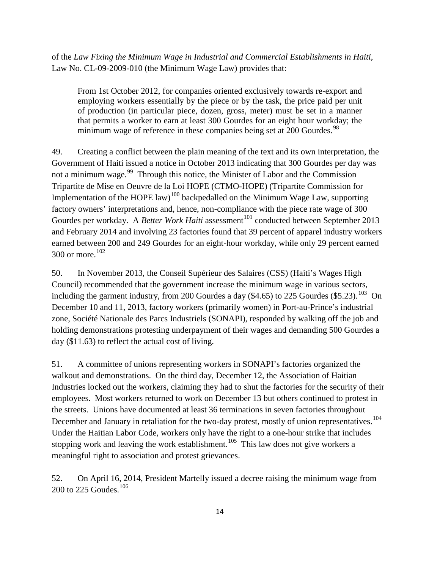of the *Law Fixing the Minimum Wage in Industrial and Commercial Establishments in Haiti*, Law No. CL-09-2009-010 (the Minimum Wage Law) provides that:

From 1st October 2012, for companies oriented exclusively towards re-export and employing workers essentially by the piece or by the task, the price paid per unit of production (in particular piece, dozen, gross, meter) must be set in a manner that permits a worker to earn at least 300 Gourdes for an eight hour workday; the minimum wage of reference in these companies being set at 200 Gourdes.<sup>[98](#page-21-65)</sup>

49. Creating a conflict between the plain meaning of the text and its own interpretation, the Government of Haiti issued a notice in October 2013 indicating that 300 Gourdes per day was not a minimum wage.<sup>[99](#page-21-66)</sup> Through this notice, the Minister of Labor and the Commission Tripartite de Mise en Oeuvre de la Loi HOPE (CTMO-HOPE) (Tripartite Commission for Implementation of the HOPE law)<sup>[100](#page-21-67)</sup> backpedalled on the Minimum Wage Law, supporting factory owners' interpretations and, hence, non-compliance with the piece rate wage of 300 Gourdes per workday. A *Better Work Haiti* assessment<sup>[101](#page-21-68)</sup> conducted between September 2013 and February 2014 and involving 23 factories found that 39 percent of apparel industry workers earned between 200 and 249 Gourdes for an eight-hour workday, while only 29 percent earned 300 or more.[102](#page-21-69)

50. In November 2013, the Conseil Supérieur des Salaires (CSS) (Haiti's Wages High Council) recommended that the government increase the minimum wage in various sectors, including the garment industry, from 200 Gourdes a day  $(\$4.65)$  to 225 Gourdes  $(\$5.23)$ .<sup>[103](#page-21-70)</sup> On December 10 and 11, 2013, factory workers (primarily women) in Port-au-Prince's industrial zone, Société Nationale des Parcs Industriels (SONAPI), responded by walking off the job and holding demonstrations protesting underpayment of their wages and demanding 500 Gourdes a day (\$11.63) to reflect the actual cost of living.

51. A committee of unions representing workers in SONAPI's factories organized the walkout and demonstrations. On the third day, December 12, the Association of Haitian Industries locked out the workers, claiming they had to shut the factories for the security of their employees. Most workers returned to work on December 13 but others continued to protest in the streets. Unions have documented at least 36 terminations in seven factories throughout December and January in retaliation for the two-day protest, mostly of union representatives.<sup>[104](#page-21-71)</sup> Under the Haitian Labor Code, workers only have the right to a one-hour strike that includes stopping work and leaving the work establishment.<sup>105</sup> This law does not give workers a meaningful right to association and protest grievances.

52. On April 16, 2014, President Martelly issued a decree raising the minimum wage from 200 to 225 Goudes.<sup>[106](#page-21-73)</sup>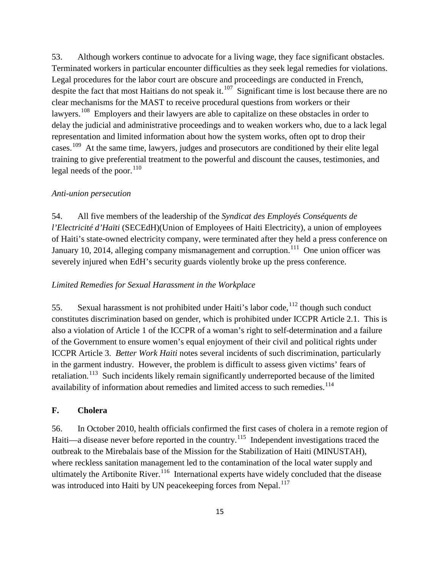53. Although workers continue to advocate for a living wage, they face significant obstacles. Terminated workers in particular encounter difficulties as they seek legal remedies for violations. Legal procedures for the labor court are obscure and proceedings are conducted in French, despite the fact that most Haitians do not speak it.<sup>[107](#page-21-74)</sup> Significant time is lost because there are no clear mechanisms for the MAST to receive procedural questions from workers or their lawyers.<sup>[108](#page-21-75)</sup> Employers and their lawyers are able to capitalize on these obstacles in order to delay the judicial and administrative proceedings and to weaken workers who, due to a lack legal representation and limited information about how the system works, often opt to drop their cases.<sup>[109](#page-21-76)</sup> At the same time, lawyers, judges and prosecutors are conditioned by their elite legal training to give preferential treatment to the powerful and discount the causes, testimonies, and legal needs of the poor. $110$ 

#### *Anti-union persecution*

54. All five members of the leadership of the *Syndicat des Employés Conséquents de l'Electricité d'Haïti* (SECEdH)(Union of Employees of Haiti Electricity), a union of employees of Haiti's state-owned electricity company, were terminated after they held a press conference on January 10, 2014, alleging company mismanagement and corruption.<sup>[111](#page-21-78)</sup> One union officer was severely injured when EdH's security guards violently broke up the press conference.

#### *Limited Remedies for Sexual Harassment in the Workplace*

55. Sexual harassment is not prohibited under Haiti's labor code,  $112$  though such conduct constitutes discrimination based on gender, which is prohibited under ICCPR Article 2.1. This is also a violation of Article 1 of the ICCPR of a woman's right to self-determination and a failure of the Government to ensure women's equal enjoyment of their civil and political rights under ICCPR Article 3. *Better Work Haiti* notes several incidents of such discrimination, particularly in the garment industry. However, the problem is difficult to assess given victims' fears of retaliation.<sup>[113](#page-21-80)</sup> Such incidents likely remain significantly underreported because of the limited availability of information about remedies and limited access to such remedies.<sup>[114](#page-21-81)</sup>

#### **F. Cholera**

56. In October 2010, health officials confirmed the first cases of cholera in a remote region of Haiti—a disease never before reported in the country.<sup>115</sup> Independent investigations traced the outbreak to the Mirebalais base of the Mission for the Stabilization of Haiti (MINUSTAH), where reckless sanitation management led to the contamination of the local water supply and ultimately the Artibonite River.<sup>[116](#page-21-83)</sup> International experts have widely concluded that the disease was introduced into Haiti by UN peacekeeping forces from Nepal.<sup>[117](#page-21-84)</sup>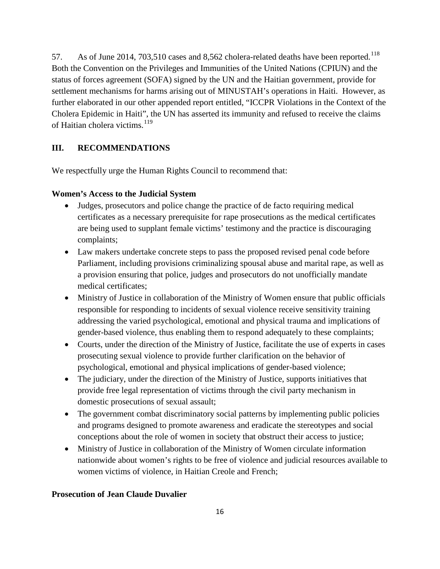57. As of June 2014, 703,510 cases and 8,562 cholera-related deaths have been reported.<sup>118</sup> Both the Convention on the Privileges and Immunities of the United Nations (CPIUN) and the status of forces agreement (SOFA) signed by the UN and the Haitian government, provide for settlement mechanisms for harms arising out of MINUSTAH's operations in Haiti. However, as further elaborated in our other appended report entitled, "ICCPR Violations in the Context of the Cholera Epidemic in Haiti", the UN has asserted its immunity and refused to receive the claims of Haitian cholera victims. $^{119}$  $^{119}$  $^{119}$ 

# **III. RECOMMENDATIONS**

We respectfully urge the Human Rights Council to recommend that:

#### **Women's Access to the Judicial System**

- Judges, prosecutors and police change the practice of de facto requiring medical certificates as a necessary prerequisite for rape prosecutions as the medical certificates are being used to supplant female victims' testimony and the practice is discouraging complaints;
- Law makers undertake concrete steps to pass the proposed revised penal code before Parliament, including provisions criminalizing spousal abuse and marital rape, as well as a provision ensuring that police, judges and prosecutors do not unofficially mandate medical certificates;
- Ministry of Justice in collaboration of the Ministry of Women ensure that public officials responsible for responding to incidents of sexual violence receive sensitivity training addressing the varied psychological, emotional and physical trauma and implications of gender-based violence, thus enabling them to respond adequately to these complaints;
- Courts, under the direction of the Ministry of Justice, facilitate the use of experts in cases prosecuting sexual violence to provide further clarification on the behavior of psychological, emotional and physical implications of gender-based violence;
- The judiciary, under the direction of the Ministry of Justice, supports initiatives that provide free legal representation of victims through the civil party mechanism in domestic prosecutions of sexual assault;
- The government combat discriminatory social patterns by implementing public policies and programs designed to promote awareness and eradicate the stereotypes and social conceptions about the role of women in society that obstruct their access to justice;
- Ministry of Justice in collaboration of the Ministry of Women circulate information nationwide about women's rights to be free of violence and judicial resources available to women victims of violence, in Haitian Creole and French;

#### **Prosecution of Jean Claude Duvalier**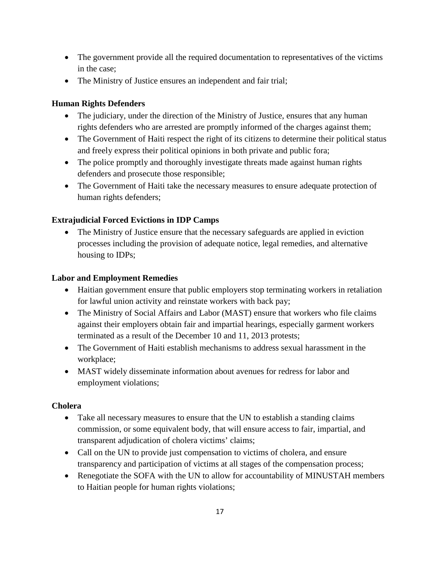- The government provide all the required documentation to representatives of the victims in the case;
- The Ministry of Justice ensures an independent and fair trial;

# **Human Rights Defenders**

- The judiciary, under the direction of the Ministry of Justice, ensures that any human rights defenders who are arrested are promptly informed of the charges against them;
- The Government of Haiti respect the right of its citizens to determine their political status and freely express their political opinions in both private and public fora;
- The police promptly and thoroughly investigate threats made against human rights defenders and prosecute those responsible;
- The Government of Haiti take the necessary measures to ensure adequate protection of human rights defenders;

# **Extrajudicial Forced Evictions in IDP Camps**

• The Ministry of Justice ensure that the necessary safeguards are applied in eviction processes including the provision of adequate notice, legal remedies, and alternative housing to IDPs;

# **Labor and Employment Remedies**

- Haitian government ensure that public employers stop terminating workers in retaliation for lawful union activity and reinstate workers with back pay;
- The Ministry of Social Affairs and Labor (MAST) ensure that workers who file claims against their employers obtain fair and impartial hearings, especially garment workers terminated as a result of the December 10 and 11, 2013 protests;
- The Government of Haiti establish mechanisms to address sexual harassment in the workplace;
- MAST widely disseminate information about avenues for redress for labor and employment violations;

# **Cholera**

- Take all necessary measures to ensure that the UN to establish a standing claims commission, or some equivalent body, that will ensure access to fair, impartial, and transparent adjudication of cholera victims' claims;
- Call on the UN to provide just compensation to victims of cholera, and ensure transparency and participation of victims at all stages of the compensation process;
- Renegotiate the SOFA with the UN to allow for accountability of MINUSTAH members to Haitian people for human rights violations;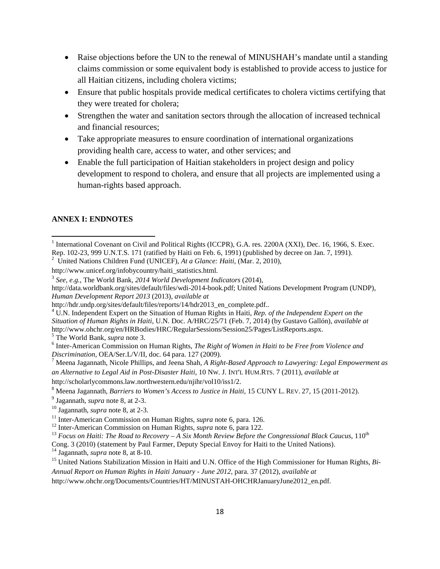- Raise objections before the UN to the renewal of MINUSHAH's mandate until a standing claims commission or some equivalent body is established to provide access to justice for all Haitian citizens, including cholera victims;
- Ensure that public hospitals provide medical certificates to cholera victims certifying that they were treated for cholera;
- Strengthen the water and sanitation sectors through the allocation of increased technical and financial resources;
- Take appropriate measures to ensure coordination of international organizations providing health care, access to water, and other services; and
- Enable the full participation of Haitian stakeholders in project design and policy development to respond to cholera, and ensure that all projects are implemented using a human-rights based approach.

#### **ANNEX I: ENDNOTES**

l

<sup>4</sup> U.N. Independent Expert on the Situation of Human Rights in Haiti, *Rep. of the Independent Expert on the Situation of Human Rights in Haiti*, U.N. Doc. A/HRC/25/71 (Feb. 7, 2014) (by Gustavo Gallón), *available at* http://www.ohchr.org/en/HRBodies/HRC/RegularSessions/Session25/Pages/ListReports.aspx.<br>
<sup>5</sup> The World Bank, *supra* note 3.

<sup>7</sup> Meena Jagannath, Nicole Phillips, and Jeena Shah, A Right-Based Approach to Lawyering: Legal Empowerment as *an Alternative to Legal Aid in Post-Disaster Haiti*, 10 NW. J. INT'L HUM.RTS. 7 (2011), *available at*

http://scholarlycommons.law.northwestern.edu/njihr/vol10/iss1/2.

<sup>9</sup> Jagannath, *supra* note 8, at 2-3.

Cong. 3 (2010) (statement by Paul Farmer, Deputy Special Envoy for Haiti to the United Nations). <sup>14</sup> Jagannath, *supra* note 8, at 8-10.

<sup>&</sup>lt;sup>1</sup> International Covenant on Civil and Political Rights (ICCPR), G.A. res. 2200A (XXI), Dec. 16, 1966, S. Exec. Rep. 102-23, 999 U.N.T.S. 171 (ratified by Haiti on Feb. 6, 1991) (published by decree on Jan. 7, 1991). <sup>2</sup>

United Nations Children Fund (UNICEF), *At a Glance: Haiti,* (Mar. 2, 2010),

http://www.unicef.org/infobycountry/haiti\_statistics.html.

<sup>3</sup> *See, e.g.*, The World Bank, *2014 World Development Indicators* (2014),

http://data.worldbank.org/sites/default/files/wdi-2014-book.pdf; United Nations Development Program (UNDP), *Human Development Report 2013 (2013), available at* http://hdr.undp.org/sites/default/files/reports/14/hdr2013 en complete.pdf..

 $^6$  Inter-American Commission on Human Rights, *The Right of Women in Haiti to be Free from Violence and Discrimination*, OEA/Ser.L/V/II, doc. 64 para. 127 (2009).

<sup>8</sup> Meena Jagannath, *Barriers to Women's Access to Justice in Haiti*, 15 CUNY L. REV. 27, 15 (2011-2012).

<sup>10</sup> Jagannath, *supra* note 8, at 2-3.

<sup>&</sup>lt;sup>11</sup> Inter-American Commission on Human Rights, *supra* note 6, para. 126.<br><sup>12</sup> Inter-American Commission on Human Rights, *supra* note 6, para 122.<br><sup>13</sup> Focus on Haiti: The Road to Recovery – A Six Month Review Before th

<sup>&</sup>lt;sup>15</sup> United Nations Stabilization Mission in Haiti and U.N. Office of the High Commissioner for Human Rights, *Bi*-*Annual Report on Human Rights in Haiti January - June 2012*, para. 37 (2012), *available at*

http://www.ohchr.org/Documents/Countries/HT/MINUSTAH-OHCHRJanuaryJune2012\_en.pdf.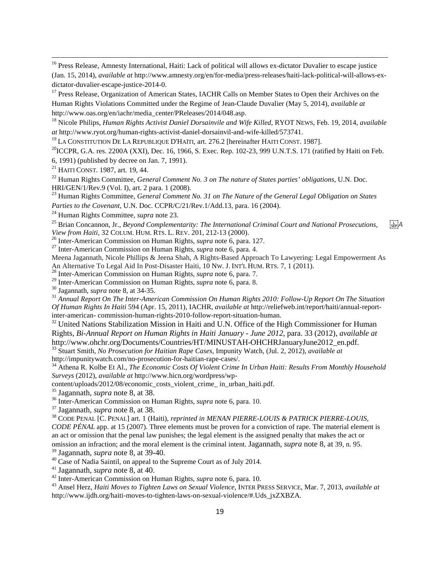<sup>16</sup> Press Release, Amnesty International, Haiti: Lack of political will allows ex-dictator Duvalier to escape justice (Jan. 15, 2014), *available at* http://www.amnesty.org/en/for-media/press-releases/haiti-lack-political-will-allows-exdictator-duvalier-escape-justice-2014-0.<br><sup>17</sup> Press Release, Organization of American States, IACHR Calls on Member States to Open their Archives on the

Human Rights Violations Committed under the Regime of Jean-Claude Duvalier (May 5, 2014), *available at* http://www.oas.org/en/iachr/media\_center/PReleases/2014/048.asp.

<sup>18</sup> Nicole Philips, *Human Rights Activist Daniel Dorsainvile and Wife Killed*, RYOT NEWS, Feb. 19, 2014, *available at* http://www.ryot.org/human-rights-activist-daniel-dorsainvil-and-wife-killed/573741.

<sup>19</sup> LA CONSTITUTION DE LA REPUBLIQUE D'HAÏTI, art. 276.2 [hereinafter HAITI CONST. 1987].

<sup>20</sup>ICCPR, G.A. res. 2200A (XXI), Dec. 16, 1966, S. Exec. Rep. 102-23, 999 U.N.T.S. 171 (ratified by Haiti on Feb.

6, 1991) (published by decree on Jan. 7, 1991).

<sup>21</sup> HAITI CONST. 1987, art. 19, 44.

 $\overline{a}$ 

<sup>22</sup> Human Rights Committee, *General Comment No. 3 on The nature of States parties' obligations*, U.N. Doc. HRI/GEN/1/Rev.9 (Vol. I), art. 2 para. 1 (2008).<br><sup>23</sup> Human Rights Committee, *General Comment No. 31 on The Nature of the General Legal Obligation on States* 

*Parties to the Covenant*, U.N. Doc. CCPR/C/21/Rev.1/Add.13, para. 16 (2004).

<sup>24</sup> Human Rights Committee, *supra* note 23.

<sup>25</sup> Brian Concannon, Jr., *Beyond Complementarity: The International Criminal Court and National Prosecutions,* [*A Qien]*<br> *Liew from Haiti, 32 COLUM.* HUM. RTS. L. REV. 201, 212-13 (2000).

<span id="page-18-0"></span><sup>26</sup> Inter-American Commission on Human Rights, *supra* note 6, para. 127.<br><sup>27</sup> Inter-American Commission on Human Rights, *supra* note 6, para. 4.

<span id="page-18-1"></span>Meena Jagannath, Nicole Phillips & Jeena Shah, A Rights-Based Approach To Lawyering: Legal Empowerment As<br>An Alternative To Legal Aid In Post-Disaster Haiti, 10 Nw. J. INT'L HUM. RTS. 7, 1 (2011).

<span id="page-18-2"></span><sup>28</sup> Inter-American Commission on Human Rights, *supra* note 6, para. 7.<br><sup>29</sup> Inter-American Commission on Human Rights, *supra* note 6, para. 8.

 $\frac{30}{31}$  Jagannath, supra note 8, at 34-35.<br> $\frac{31}{31}$  Annual Report On The Inter-American Commission On Human Rights 2010: Follow-Up Report On The Situation *Of Human Rights In Haiti* 594 (Apr. 15, 2011), IACHR, *available at* http://reliefweb.int/report/haiti/annual-reportinter-american- commission-human-rights-2010-follow-report-situation-human.

<span id="page-18-4"></span><span id="page-18-3"></span><sup>32</sup> United Nations Stabilization Mission in Haiti and U.N. Office of the High Commissioner for Human Rights, *Bi-Annual Report on Human Rights in Haiti January - June 2012*, para. 33 (2012), *available at* http://www.ohchr.org/Documents/Countries/HT/MINUSTAH-OHCHRJanuaryJune2012\_en.pdf. <sup>33</sup> Stuart Smith, *No Prosecution for Haitian Rape Cases,* Impunity Watch, (Jul. 2, 2012), *available at* 

<span id="page-18-5"></span>

<span id="page-18-6"></span>http://impunitywatch.com/no-prosecution-for-haitian-rape-cases/. <sup>34</sup> Athena R. Kolbe Et Al., *The Economic Costs Of Violent Crime In Urban Haiti: Results From Monthly Household Surveys* (2012), *available at* http://www.hicn.org/wordpress/wp-

content/uploads/2012/08/economic\_costs\_violent\_crime\_ in\_urban\_haiti.pdf.

<span id="page-18-8"></span><span id="page-18-7"></span><sup>35</sup> Jagannath, *supra* note 8, at 38. <sup>36</sup> Inter-American Commission on Human Rights, *supra* note 6, para. 10.

<span id="page-18-9"></span><sup>37</sup> Jagannath, *supra* note 8, at 38.<br><sup>38</sup> CODE PENAL [C. PENAL] art. 1 (Haiti), *reprinted in MENAN PIERRE-LOUIS & PATRICK PIERRE-LOUIS*,

<span id="page-18-12"></span><span id="page-18-11"></span><span id="page-18-10"></span>*CODE PÉNAL* app. at 15 (2007). Three elements must be proven for a conviction of rape. The material element is an act or omission that the penal law punishes; the legal element is the assigned penalty that makes the act or omission an infraction; and the moral element is the criminal intent. Jagannath, *supra* note 8, at 39, n. 95.

<span id="page-18-14"></span><span id="page-18-13"></span><sup>40</sup> Case of Nadia Saintil, on appeal to the Supreme Court as of July 2014.<br><sup>41</sup> Jagannath, *supra* note 8, at 40.<br><sup>42</sup> Inter-American Commission on Human Rights, *supra* note 6, para. 10.<br><sup>43</sup> Ansel Herz, *Haiti Moves to* http://www.ijdh.org/haiti-moves-to-tighten-laws-on-sexual-violence/#.Uds\_jxZXBZA.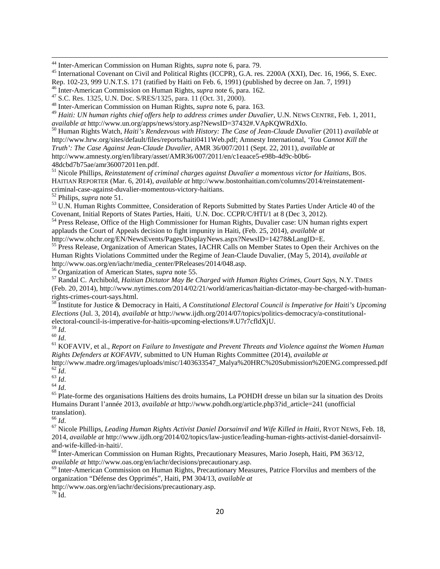<span id="page-19-0"></span><sup>44</sup> Inter-American Commission on Human Rights, *supra* note 6, para. 79.

<sup>45</sup> International Covenant on Civil and Political Rights (ICCPR), G.A. res. 2200A (XXI), Dec. 16, 1966, S. Exec.<br>Rep. 102-23, 999 U.N.T.S. 171 (ratified by Haiti on Feb. 6, 1991) (published by decree on Jan. 7, 1991)

<sup>49</sup> *Haiti: UN human rights chief offers help to address crimes under Duvalier*, U.N. NEWS CENTRE, Feb. 1, 2011, *available at http://www.un.org/apps/news/story.asp?NewsID=37432#.VApKOWRdXIo.* 

<span id="page-19-4"></span><span id="page-19-3"></span><span id="page-19-2"></span><sup>50</sup> Human Rights Watch, *Haiti's Rendezvous with History: The Case of Jean-Claude Duvalier* (2011) *available at* http://www.hrw.org/sites/default/files/reports/haiti0411Web.pdf; Amnesty International, *'You Cannot Kill the Truth': The Case Against Jean-Claude Duvalier*, AMR 36/007/2011 (Sept. 22, 2011), *available at* http://www.amnesty.org/en/library/asset/AMR36/007/2011/en/c1eaace5-e98b-4d9c-b0b6- 48dcbd7b75ae/amr360072011en.pdf.<br><sup>51</sup> Nicole Phillips, *Reinstatement of criminal charges against Duvalier a momentous victor for Haitians*, BOS.

<span id="page-19-5"></span>HAITIAN REPORTER (Mar. 6, 2014), *available at* http://www.bostonhaitian.com/columns/2014/reinstatement-

<sup>52</sup> Philips, *supra* note 51.<br><sup>53</sup> U.N. Human Rights Committee, Consideration of Reports Submitted by States Parties Under Article 40 of the Covenant, Initial Reports of States Parties, Haiti, U.N. Doc. CCPR/C/HTI/1 at 8

 $\frac{54}{1}$  Press Release, Office of the High Commissioner for Human Rights, Duvalier case: UN human rights expert applauds the Court of Appeals decision to fight impunity in Haiti, (Feb. 25, 2014), *available at*

http://www.ohchr.org/EN/NewsEvents/Pages/DisplayNews.aspx?NewsID=14278&LangID=E.<br><sup>55</sup> Press Release, Organization of American States, IACHR Calls on Member States to Open their Archives on the Human Rights Violations Committed under the Regime of Jean-Claude Duvalier, (May 5, 2014), *available at* http://www.oas.org/en/iachr/media\_center/PReleases/2014/048.asp.<br><sup>56</sup> Organization of American States, *supra* note 55.<br><sup>57</sup> Randal C. Archibold, *Haitian Dictator May Be Charged with Human Rights Crimes, Court Says, N.Y.* 

(Feb. 20, 2014), http://www.nytimes.com/2014/02/21/world/americas/haitian-dictator-may-be-charged-with-humanrights-crimes-court-says.html.<br><sup>58</sup> Institute for Justice & Democracy in Haiti, *A Constitutional Electoral Council is Imperative for Haiti's Upcoming* 

*Elections* (Jul. 3, 2014), *available at* http://www.ijdh.org/2014/07/topics/politics-democracy/a-constitutionalelectoral-council-is-imperative-for-haitis-upcoming-elections/#.U7r7cfldXjU.<br><sup>59</sup> *Id*.

<sup>59</sup> *Id*. <sup>60</sup> *Id*. <sup>61</sup> KOFAVIV, et al., *Report on Failure to Investigate and Prevent Threats and Violence against the Women Human Rights Defenders at KOFAVIV,* submitted to UN Human Rights Committee (2014), *available at*

[http://www.madre.org/images/uploads/misc/1403633547\\_Malya%20HRC%20Submission%20ENG.compressed.pdf](http://www.madre.org/images/uploads/misc/1403633547_Malya%20HRC%20Submission%20ENG.compressed.pdf)  $^{62}$   $\emph{Id}$ 

<sup>63</sup> *Id.*<br><sup>64</sup> *Id.*<br><sup>65</sup> Plate-forme des organisations Haïtiens des droits humains, La POHDH dresse un bilan sur la situation des Droits Humains Durant l'année 2013, *available at* http://www.pohdh.org/article.php3?id\_article=241 (unofficial translation).<br> $66$  *Id*.

<sup>67</sup> Nicole Phillips, *Leading Human Rights Activist Daniel Dorsainvil and Wife Killed in Haiti*, RYOT NEWS, Feb. 18, 2014, *available at* http://www.ijdh.org/2014/02/topics/law-justice/leading-human-rights-activist-daniel-dorsainvil-

and-wife-killed-in-haiti/.<br><sup>68</sup> Inter-American Commission on Human Rights, Precautionary Measures, Mario Joseph, Haiti, PM 363/12, *available at* http://www.oas.org/en/iachr/decisions/precautionary.asp.

<sup>69</sup> Inter-American Commission on Human Rights, Precautionary Measures, Patrice Florvilus and members of the organization "Défense des Opprimés", Haiti, PM 304/13, *available at*

http://www.oas.org/en/iachr/decisions/precautionary.asp. 70 Id.

<span id="page-19-1"></span><sup>&</sup>lt;sup>46</sup> Inter-American Commission on Human Rights, *supra* note 6, para. 162.<br><sup>47</sup> S.C. Res. 1325, U.N. Doc. S/RES/1325, para. 11 (Oct. 31, 2000).<br><sup>48</sup> Inter-American Commission on Human Rights, *supra* note 6, para. 163.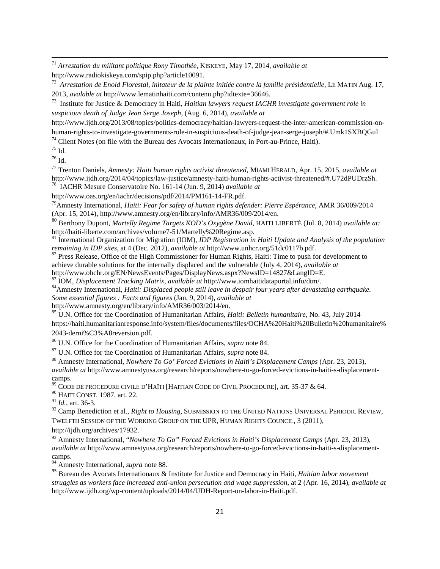<sup>71</sup> *Arrestation du militant politique Rony Timothée*, KISKEYE, May 17, 2014, *available at* http://www.radiokiskeya.com/spip.php?article10091.

72 *Arrestation de Enold Florestal, initateur de la plainte initiée contre la famille présidentielle*, LE MATIN Aug. 17, 2013, *avalable at* http://www.lematinhaiti.com/contenu.php?idtexte=36646.

73 Institute for Justice & Democracy in Haiti, *Haitian lawyers request IACHR investigate government role in suspicious death of Judge Jean Serge Joseph*, (Aug. 6, 2014), *available at*

http://www.ijdh.org/2013/08/topics/politics-democracy/haitian-lawyers-request-the-inter-american-commission-onhuman-rights-to-investigate-governments-role-in-suspicious-death-of-judge-jean-serge-joseph/#.Umk1SXBQGuI

 $74$  Client Notes (on file with the Bureau des Avocats Internationaux, in Port-au-Prince, Haiti).

 $^{75}$  Id.

 $\overline{a}$ 

<sup>76</sup> Id.

<span id="page-20-0"></span><sup>77</sup> Trenton Daniels, *Amnesty: Haiti human rights activist threatened*, MIAMI HERALD, Apr. 15, 2015, *available at* http://www.ijdh.org/2014/04/topics/law-justice/amnesty-haiti-human-rights-activist-threatened/#.U72dPUDrzSh. 78 IACHR Mesure Conservatoire No. 161-14 (Jun. 9, 2014) *available at*

<span id="page-20-1"></span>http://www.oas.org/en/iachr/decisions/pdf/2014/PM161-14-FR.pdf.

79Amnesty International, *Haiti: Fear for safety of human rights defender: Pierre Espérance*, AMR 36/009/2014 (Apr. 15, 2014), http://www.amnesty.org/en/library/info/AMR36/009/2014/en.

<span id="page-20-3"></span><span id="page-20-2"></span><sup>80</sup> Berthony Dupont, *Martelly Regime Targets KOD's Oxygène David*, HAITI LIBERTÉ (Jul. 8, 2014) *available at:*

<span id="page-20-5"></span><span id="page-20-4"></span><sup>81</sup> International Organization for Migration (IOM), *IDP Registration in Haiti Update and Analysis of the population remaining in IDP sites*, at 4 (Dec. 2012), *available at* http://www.unhcr.org/51dc0117b.pdf.<br><sup>82</sup> Press Release, Office of the High Commissioner for Human Rights, Haiti: Time to push for development to

achieve durable solutions for the internally displaced and the vulnerable (July 4, 2014), *available at*

<span id="page-20-6"></span>http://www.ohchr.org/EN/NewsEvents/Pages/DisplayNews.aspx?NewsID=14827&LangID=E.<br><sup>83</sup> IOM, *Displacement Tracking Matrix, available at* http://www.iomhaitidataportal.info/dtm/.

<span id="page-20-7"></span>

<sup>84</sup> Amnesty International, Haiti: Displaced people still leave in despair four years after devastating earthquake. *Some essential figures : Facts and figures* (Jan. 9, 2014), *available at*

<sup>85</sup> U.N. Office for the Coordination of Humanitarian Affairs, *Haiti: Belletin humanitaire*, No. 43, July 2014 https://haiti.humanitarianresponse.info/system/files/documents/files/OCHA%20Haiti%20Bulletin%20humanitaire% 2043-derni%C3%A8reversion.pdf.

<sup>86</sup> U.N. Office for the Coordination of Humanitarian Affairs, *supra* note 84.

<sup>87</sup> U.N. Office for the Coordination of Humanitarian Affairs, *supra* note 84.

<sup>88</sup> Amnesty International, *Nowhere To Go' Forced Evictions in Haiti's Displacement Camps* (Apr. 23, 2013), *available at* http://www.amnestyusa.org/research/reports/nowhere-to-go-forced-evictions-in-haiti-s-displacementcamps.<br><sup>89</sup> CODE DE PROCEDURE CIVILE D'HAÏTI [HAITIAN CODE OF CIVIL PROCEDURE], art. 35-37 & 64.

<sup>90</sup> HAITI CONST. 1987, art. 22.

<sup>91</sup> *Id.*, art. 36-3.

<sup>92</sup> Camp Benediction et al., *Right to Housing*, SUBMISSION TO THE UNITED NATIONS UNIVERSAL PERIODIC REVIEW, TWELFTH SESSION OF THE WORKING GROUP ON THE UPR, HUMAN RIGHTS COUNCIL, 3 (2011),

http://ijdh.org/archives/17932.

<sup>93</sup> Amnesty International, "*Nowhere To Go" Forced Evictions in Haiti's Displacement Camps* (Apr. 23, 2013), *available at* http://www.amnestyusa.org/research/reports/nowhere-to-go-forced-evictions-in-haiti-s-displacement-

<sup>94</sup> Amnesty International, *supra* note 88.

<sup>95</sup> Bureau des Avocats Internationaux & Institute for Justice and Democracy in Haiti, *Haitian labor movement struggles as workers face increased anti-union persecution and wage suppression*, at 2 (Apr. 16, 2014), *available at*  http://www.ijdh.org/wp-content/uploads/2014/04/IJDH-Report-on-labor-in-Haiti.pdf.